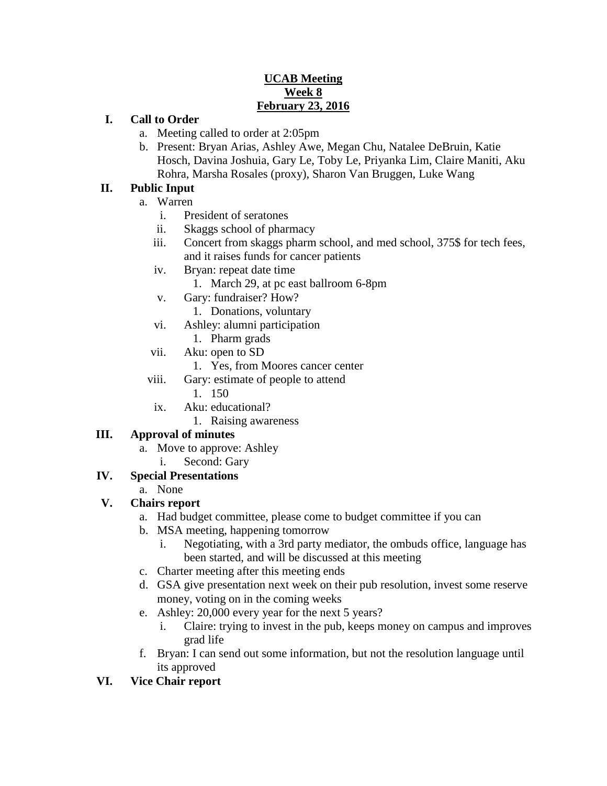# **UCAB Meeting Week 8 February 23, 2016**

## **I. Call to Order**

- a. Meeting called to order at 2:05pm
- b. Present: Bryan Arias, Ashley Awe, Megan Chu, Natalee DeBruin, Katie Hosch, Davina Joshuia, Gary Le, Toby Le, Priyanka Lim, Claire Maniti, Aku Rohra, Marsha Rosales (proxy), Sharon Van Bruggen, Luke Wang

# **II. Public Input**

- a. Warren
	- i. President of seratones
	- ii. Skaggs school of pharmacy
	- iii. Concert from skaggs pharm school, and med school, 375\$ for tech fees, and it raises funds for cancer patients
	- iv. Bryan: repeat date time
		- 1. March 29, at pc east ballroom 6-8pm
	- v. Gary: fundraiser? How?
		- 1. Donations, voluntary
	- vi. Ashley: alumni participation
	- 1. Pharm grads
	- vii. Aku: open to SD
		- 1. Yes, from Moores cancer center
	- viii. Gary: estimate of people to attend
		- 1. 150
	- ix. Aku: educational?
		- 1. Raising awareness

## **III. Approval of minutes**

- a. Move to approve: Ashley
	- i. Second: Gary

## **IV. Special Presentations**

a. None

## **V. Chairs report**

- a. Had budget committee, please come to budget committee if you can
- b. MSA meeting, happening tomorrow
	- i. Negotiating, with a 3rd party mediator, the ombuds office, language has been started, and will be discussed at this meeting
- c. Charter meeting after this meeting ends
- d. GSA give presentation next week on their pub resolution, invest some reserve money, voting on in the coming weeks
- e. Ashley: 20,000 every year for the next 5 years?
	- i. Claire: trying to invest in the pub, keeps money on campus and improves grad life
- f. Bryan: I can send out some information, but not the resolution language until its approved
- **VI. Vice Chair report**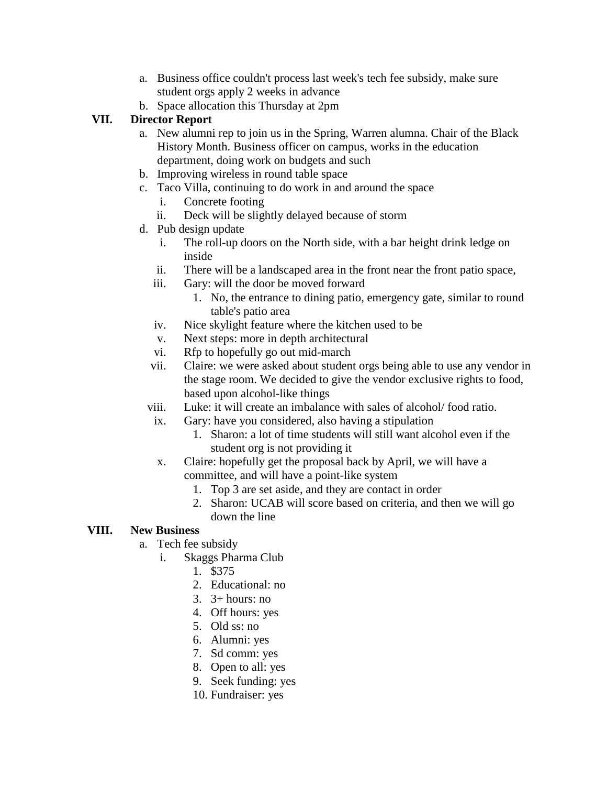- a. Business office couldn't process last week's tech fee subsidy, make sure student orgs apply 2 weeks in advance
- b. Space allocation this Thursday at 2pm

# **VII. Director Report**

- a. New alumni rep to join us in the Spring, Warren alumna. Chair of the Black History Month. Business officer on campus, works in the education department, doing work on budgets and such
- b. Improving wireless in round table space
- c. Taco Villa, continuing to do work in and around the space
	- i. Concrete footing
	- ii. Deck will be slightly delayed because of storm
- d. Pub design update
	- i. The roll-up doors on the North side, with a bar height drink ledge on inside
	- ii. There will be a landscaped area in the front near the front patio space,
	- iii. Gary: will the door be moved forward
		- 1. No, the entrance to dining patio, emergency gate, similar to round table's patio area
	- iv. Nice skylight feature where the kitchen used to be
	- v. Next steps: more in depth architectural
	- vi. Rfp to hopefully go out mid-march
	- vii. Claire: we were asked about student orgs being able to use any vendor in the stage room. We decided to give the vendor exclusive rights to food, based upon alcohol-like things
	- viii. Luke: it will create an imbalance with sales of alcohol/ food ratio.
	- ix. Gary: have you considered, also having a stipulation
		- 1. Sharon: a lot of time students will still want alcohol even if the student org is not providing it
	- x. Claire: hopefully get the proposal back by April, we will have a committee, and will have a point-like system
		- 1. Top 3 are set aside, and they are contact in order
		- 2. Sharon: UCAB will score based on criteria, and then we will go down the line

# **VIII. New Business**

- a. Tech fee subsidy
	- i. Skaggs Pharma Club
		- 1. \$375
		- 2. Educational: no
		- 3.  $3+ hours: no$
		- 4. Off hours: yes
		- 5. Old ss: no
		- 6. Alumni: yes
		- 7. Sd comm: yes
		- 8. Open to all: yes
		- 9. Seek funding: yes
		- 10. Fundraiser: yes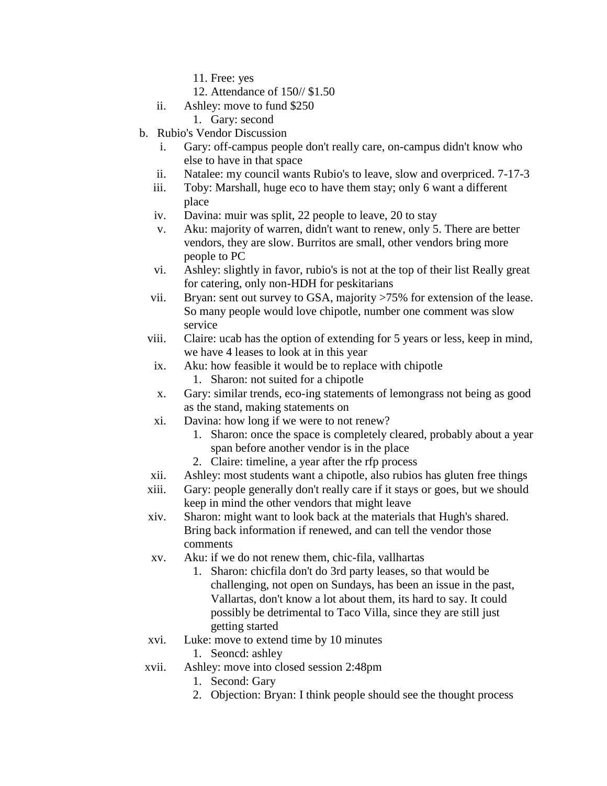11. Free: yes

- 12. Attendance of 150// \$1.50
- ii. Ashley: move to fund \$250
	- 1. Gary: second
- b. Rubio's Vendor Discussion
	- i. Gary: off-campus people don't really care, on-campus didn't know who else to have in that space
	- ii. Natalee: my council wants Rubio's to leave, slow and overpriced. 7-17-3
	- iii. Toby: Marshall, huge eco to have them stay; only 6 want a different place
	- iv. Davina: muir was split, 22 people to leave, 20 to stay
	- v. Aku: majority of warren, didn't want to renew, only 5. There are better vendors, they are slow. Burritos are small, other vendors bring more people to PC
	- vi. Ashley: slightly in favor, rubio's is not at the top of their list Really great for catering, only non-HDH for peskitarians
	- vii. Bryan: sent out survey to GSA, majority >75% for extension of the lease. So many people would love chipotle, number one comment was slow service
	- viii. Claire: ucab has the option of extending for 5 years or less, keep in mind, we have 4 leases to look at in this year
	- ix. Aku: how feasible it would be to replace with chipotle
		- 1. Sharon: not suited for a chipotle
	- x. Gary: similar trends, eco-ing statements of lemongrass not being as good as the stand, making statements on
	- xi. Davina: how long if we were to not renew?
		- 1. Sharon: once the space is completely cleared, probably about a year span before another vendor is in the place
		- 2. Claire: timeline, a year after the rfp process
	- xii. Ashley: most students want a chipotle, also rubios has gluten free things
	- xiii. Gary: people generally don't really care if it stays or goes, but we should keep in mind the other vendors that might leave
	- xiv. Sharon: might want to look back at the materials that Hugh's shared. Bring back information if renewed, and can tell the vendor those comments
	- xv. Aku: if we do not renew them, chic-fila, vallhartas
		- 1. Sharon: chicfila don't do 3rd party leases, so that would be challenging, not open on Sundays, has been an issue in the past, Vallartas, don't know a lot about them, its hard to say. It could possibly be detrimental to Taco Villa, since they are still just getting started
	- xvi. Luke: move to extend time by 10 minutes

#### 1. Seoncd: ashley

- xvii. Ashley: move into closed session 2:48pm
	- 1. Second: Gary
	- 2. Objection: Bryan: I think people should see the thought process